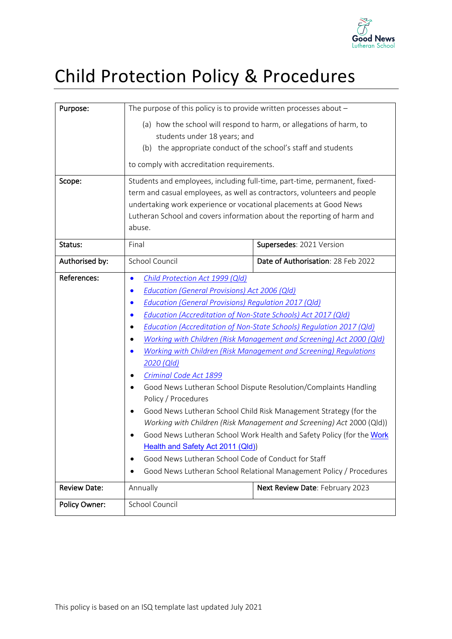

# Child Protection Policy & Procedures

| Purpose:             | The purpose of this policy is to provide written processes about $-$                                                                                                                                                                                                                                                                                                                                                                                                                                                                                                                                                                                                                                                                                                                                                                                                                                                                                                                                                                    |                                    |  |
|----------------------|-----------------------------------------------------------------------------------------------------------------------------------------------------------------------------------------------------------------------------------------------------------------------------------------------------------------------------------------------------------------------------------------------------------------------------------------------------------------------------------------------------------------------------------------------------------------------------------------------------------------------------------------------------------------------------------------------------------------------------------------------------------------------------------------------------------------------------------------------------------------------------------------------------------------------------------------------------------------------------------------------------------------------------------------|------------------------------------|--|
|                      | (a) how the school will respond to harm, or allegations of harm, to<br>students under 18 years; and<br>(b) the appropriate conduct of the school's staff and students<br>to comply with accreditation requirements.                                                                                                                                                                                                                                                                                                                                                                                                                                                                                                                                                                                                                                                                                                                                                                                                                     |                                    |  |
| Scope:               | Students and employees, including full-time, part-time, permanent, fixed-<br>term and casual employees, as well as contractors, volunteers and people<br>undertaking work experience or vocational placements at Good News<br>Lutheran School and covers information about the reporting of harm and<br>abuse.                                                                                                                                                                                                                                                                                                                                                                                                                                                                                                                                                                                                                                                                                                                          |                                    |  |
| Status:              | Final<br>Supersedes: 2021 Version                                                                                                                                                                                                                                                                                                                                                                                                                                                                                                                                                                                                                                                                                                                                                                                                                                                                                                                                                                                                       |                                    |  |
| Authorised by:       | School Council                                                                                                                                                                                                                                                                                                                                                                                                                                                                                                                                                                                                                                                                                                                                                                                                                                                                                                                                                                                                                          | Date of Authorisation: 28 Feb 2022 |  |
| References:          | Child Protection Act 1999 (Qld)<br>$\bullet$<br><b>Education (General Provisions) Act 2006 (Qld)</b><br>$\bullet$<br>Education (General Provisions) Regulation 2017 (Qld)<br>$\bullet$<br>Education (Accreditation of Non-State Schools) Act 2017 (Qld)<br>$\bullet$<br><b>Education (Accreditation of Non-State Schools) Regulation 2017 (Qld)</b><br>Working with Children (Risk Management and Screening) Act 2000 (Qld)<br>Working with Children (Risk Management and Screening) Regulations<br>2020 (Qld)<br>Criminal Code Act 1899<br>Good News Lutheran School Dispute Resolution/Complaints Handling<br>Policy / Procedures<br>Good News Lutheran School Child Risk Management Strategy (for the<br>Working with Children (Risk Management and Screening) Act 2000 (Qld))<br>Good News Lutheran School Work Health and Safety Policy (for the Work<br>٠<br>Health and Safety Act 2011 (Qld))<br>Good News Lutheran School Code of Conduct for Staff<br>٠<br>Good News Lutheran School Relational Management Policy / Procedures |                                    |  |
| <b>Review Date:</b>  | Annually<br>Next Review Date: February 2023                                                                                                                                                                                                                                                                                                                                                                                                                                                                                                                                                                                                                                                                                                                                                                                                                                                                                                                                                                                             |                                    |  |
| <b>Policy Owner:</b> | School Council                                                                                                                                                                                                                                                                                                                                                                                                                                                                                                                                                                                                                                                                                                                                                                                                                                                                                                                                                                                                                          |                                    |  |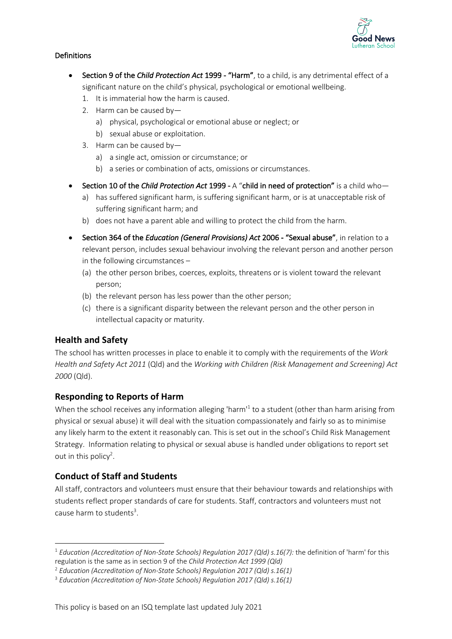

### Definitions

- Section 9 of the *Child Protection Act* 1999 "Harm", to a child, is any detrimental effect of a significant nature on the child's physical, psychological or emotional wellbeing.
	- 1. It is immaterial how the harm is caused.
	- 2. Harm can be caused by
		- a) physical, psychological or emotional abuse or neglect; or
		- b) sexual abuse or exploitation.
	- 3. Harm can be caused by
		- a) a single act, omission or circumstance; or
		- b) a series or combination of acts, omissions or circumstances.
- Section 10 of the *Child Protection Act* 1999 A "child in need of protection" is a child who
	- a) has suffered significant harm, is suffering significant harm, or is at unacceptable risk of suffering significant harm; and
	- b) does not have a parent able and willing to protect the child from the harm.
- Section 364 of the *Education (General Provisions) Act* 2006 "Sexual abuse", in relation to a relevant person, includes sexual behaviour involving the relevant person and another person in the following circumstances –
	- (a) the other person bribes, coerces, exploits, threatens or is violent toward the relevant person;
	- (b) the relevant person has less power than the other person;
	- (c) there is a significant disparity between the relevant person and the other person in intellectual capacity or maturity.

## **Health and Safety**

The school has written processes in place to enable it to comply with the requirements of the *Work Health and Safety Act 2011* (Qld) and the *Working with Children (Risk Management and Screening) Act 2000* (Qld).

## **Responding to Reports of Harm**

When the school receives any information alleging 'harm<sup>1</sup> to a student (other than harm arising from physical or sexual abuse) it will deal with the situation compassionately and fairly so as to minimise any likely harm to the extent it reasonably can. This is set out in the school's Child Risk Management Strategy. Information relating to physical or sexual abuse is handled under obligations to report set out in this policy<sup>2</sup>.

## **Conduct of Staff and Students**

All staff, contractors and volunteers must ensure that their behaviour towards and relationships with students reflect proper standards of care for students. Staff, contractors and volunteers must not cause harm to students<sup>3</sup>.

<sup>1</sup> *Education (Accreditation of Non-State Schools) Regulation 2017 (Qld) s.16(7):* the definition of 'harm' for this regulation is the same as in section 9 of the *Child Protection Act 1999 (Qld)*

<sup>2</sup> *Education (Accreditation of Non-State Schools) Regulation 2017 (Qld) s.16(1)*

<sup>3</sup> *Education (Accreditation of Non-State Schools) Regulation 2017 (Qld) s.16(1)*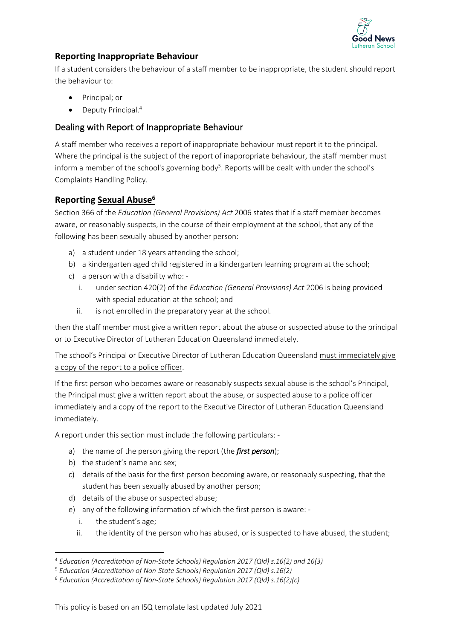

# **Reporting Inappropriate Behaviour**

If a student considers the behaviour of a staff member to be inappropriate, the student should report the behaviour to:

- Principal; or
- Deputy Principal.<sup>4</sup>

## Dealing with Report of Inappropriate Behaviour

A staff member who receives a report of inappropriate behaviour must report it to the principal. Where the principal is the subject of the report of inappropriate behaviour, the staff member must inform a member of the school's governing body<sup>5</sup>. Reports will be dealt with under the school's Complaints Handling Policy.

## **Reporting Sexual Abuse6**

Section 366 of the *Education (General Provisions) Act* 2006 states that if a staff member becomes aware, or reasonably suspects, in the course of their employment at the school, that any of the following has been sexually abused by another person:

- a) a student under 18 years attending the school;
- b) a kindergarten aged child registered in a kindergarten learning program at the school;
- c) a person with a disability who:
	- i. under section 420(2) of the *Education (General Provisions) Act* 2006 is being provided with special education at the school; and
	- ii. is not enrolled in the preparatory year at the school.

then the staff member must give a written report about the abuse or suspected abuse to the principal or to Executive Director of Lutheran Education Queensland immediately.

The school's Principal or Executive Director of Lutheran Education Queensland must immediately give a copy of the report to a police officer.

If the first person who becomes aware or reasonably suspects sexual abuse is the school's Principal, the Principal must give a written report about the abuse, or suspected abuse to a police officer immediately and a copy of the report to the Executive Director of Lutheran Education Queensland immediately.

A report under this section must include the following particulars: -

- a) the name of the person giving the report (the *first person*);
- b) the student's name and sex;
- c) details of the basis for the first person becoming aware, or reasonably suspecting, that the student has been sexually abused by another person;
- d) details of the abuse or suspected abuse;
- e) any of the following information of which the first person is aware:
	- i. the student's age;
	- ii. the identity of the person who has abused, or is suspected to have abused, the student;

<sup>4</sup> *Education (Accreditation of Non-State Schools) Regulation 2017 (Qld) s.16(2) and 16(3)*

<sup>5</sup> *Education (Accreditation of Non-State Schools) Regulation 2017 (Qld) s.16(2)*

<sup>6</sup> *Education (Accreditation of Non-State Schools) Regulation 2017 (Qld) s.16(2)(c)*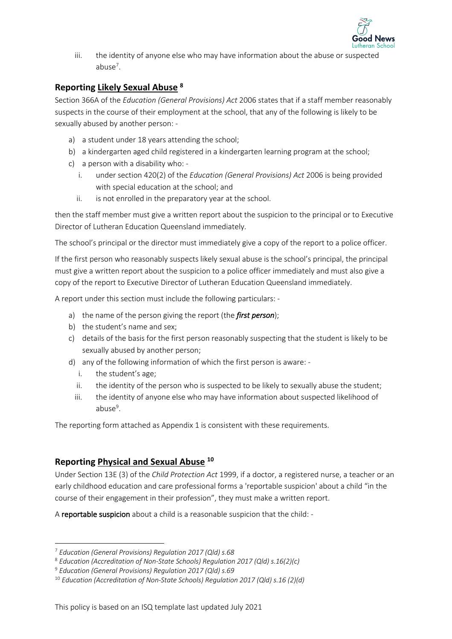

iii. the identity of anyone else who may have information about the abuse or suspected abuse<sup>7</sup>.

## **Reporting Likely Sexual Abuse <sup>8</sup>**

Section 366A of the *Education (General Provisions) Act* 2006 states that if a staff member reasonably suspects in the course of their employment at the school, that any of the following is likely to be sexually abused by another person: -

- a) a student under 18 years attending the school;
- b) a kindergarten aged child registered in a kindergarten learning program at the school;
- c) a person with a disability who:
	- i. under section 420(2) of the *Education (General Provisions) Act* 2006 is being provided with special education at the school; and
	- ii. is not enrolled in the preparatory year at the school.

then the staff member must give a written report about the suspicion to the principal or to Executive Director of Lutheran Education Queensland immediately.

The school's principal or the director must immediately give a copy of the report to a police officer.

If the first person who reasonably suspects likely sexual abuse is the school's principal, the principal must give a written report about the suspicion to a police officer immediately and must also give a copy of the report to Executive Director of Lutheran Education Queensland immediately.

A report under this section must include the following particulars: -

- a) the name of the person giving the report (the *first person*);
- b) the student's name and sex;
- c) details of the basis for the first person reasonably suspecting that the student is likely to be sexually abused by another person;
- d) any of the following information of which the first person is aware:
	- i. the student's age;
	- ii. the identity of the person who is suspected to be likely to sexually abuse the student;
	- iii. the identity of anyone else who may have information about suspected likelihood of abuse<sup>9</sup>.

The reporting form attached as Appendix 1 is consistent with these requirements.

## **Reporting Physical and Sexual Abuse <sup>10</sup>**

Under Section 13E (3) of the *Child Protection Act* 1999, if a doctor, a registered nurse, a teacher or an early childhood education and care professional forms a 'reportable suspicion' about a child "in the course of their engagement in their profession", they must make a written report.

A reportable suspicion about a child is a reasonable suspicion that the child: -

<sup>7</sup> *Education (General Provisions) Regulation 2017 (Qld) s.68*

<sup>8</sup> *Education (Accreditation of Non-State Schools) Regulation 2017 (Qld) s.16(2)(c)*

<sup>9</sup> *Education (General Provisions) Regulation 2017 (Qld) s.69*

<sup>10</sup> *Education (Accreditation of Non-State Schools) Regulation 2017 (Qld) s.16 (2)(d)*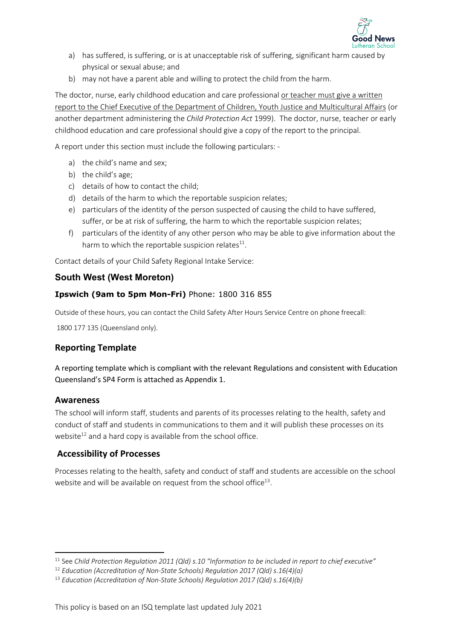

- a) has suffered, is suffering, or is at unacceptable risk of suffering, significant harm caused by physical or sexual abuse; and
- b) may not have a parent able and willing to protect the child from the harm.

The doctor, nurse, early childhood education and care professional or teacher must give a written report to the Chief Executive of the Department of Children, Youth Justice and Multicultural Affairs (or another department administering the *Child Protection Act* 1999). The doctor, nurse, teacher or early childhood education and care professional should give a copy of the report to the principal.

A report under this section must include the following particulars: -

- a) the child's name and sex;
- b) the child's age;
- c) details of how to contact the child;
- d) details of the harm to which the reportable suspicion relates;
- e) particulars of the identity of the person suspected of causing the child to have suffered, suffer, or be at risk of suffering, the harm to which the reportable suspicion relates;
- f) particulars of the identity of any other person who may be able to give information about the harm to which the reportable suspicion relates $^{11}$ .

Contact details of your Child Safety Regional Intake Service:

### **South West (West Moreton)**

### **Ipswich (9am to 5pm Mon-Fri)** Phone: 1800 316 855

Outside of these hours, you can contact the Child Safety After Hours Service Centre on phone freecall:

1800 177 135 (Queensland only).

## **Reporting Template**

A reporting template which is compliant with the relevant Regulations and consistent with Education Queensland's SP4 Form is attached as Appendix 1.

#### **Awareness**

The school will inform staff, students and parents of its processes relating to the health, safety and conduct of staff and students in communications to them and it will publish these processes on its website $^{12}$  and a hard copy is available from the school office.

#### **Accessibility of Processes**

Processes relating to the health, safety and conduct of staff and students are accessible on the school website and will be available on request from the school office<sup>13</sup>.

<sup>11</sup> See *Child Protection Regulation 2011 (Qld) s.10 "Information to be included in report to chief executive"* 

<sup>12</sup> *Education (Accreditation of Non-State Schools) Regulation 2017 (Qld) s.16(4)(a)*

<sup>13</sup> *Education (Accreditation of Non-State Schools) Regulation 2017 (Qld) s.16(4)(b)*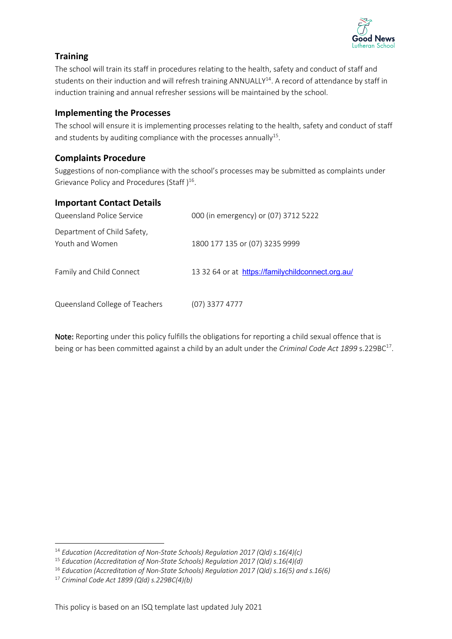

# **Training**

The school will train its staff in procedures relating to the health, safety and conduct of staff and students on their induction and will refresh training ANNUALLY<sup>14</sup>. A record of attendance by staff in induction training and annual refresher sessions will be maintained by the school.

## **Implementing the Processes**

The school will ensure it is implementing processes relating to the health, safety and conduct of staff and students by auditing compliance with the processes annually<sup>15</sup>.

## **Complaints Procedure**

Suggestions of non-compliance with the school's processes may be submitted as complaints under Grievance Policy and Procedures (Staff)<sup>16</sup>.

### **Important Contact Details**

| Queensland Police Service                      | 000 (in emergency) or (07) 3712 5222              |
|------------------------------------------------|---------------------------------------------------|
| Department of Child Safety,<br>Youth and Women | 1800 177 135 or (07) 3235 9999                    |
| Family and Child Connect                       | 13 32 64 or at https://familychildconnect.org.au/ |
| Queensland College of Teachers                 | (07) 3377 4777                                    |

Note: Reporting under this policy fulfills the obligations for reporting a child sexual offence that is being or has been committed against a child by an adult under the *Criminal Code Act 1899* s.229BC<sup>17</sup>.

<sup>14</sup> *Education (Accreditation of Non-State Schools) Regulation 2017 (Qld) s.16(4)(c)*

<sup>15</sup> *Education (Accreditation of Non-State Schools) Regulation 2017 (Qld) s.16(4)(d)*

<sup>16</sup> *Education (Accreditation of Non-State Schools) Regulation 2017 (Qld) s.16(5) and s.16(6)*

<sup>17</sup> *Criminal Code Act 1899 (Qld) s.229BC(4)(b)*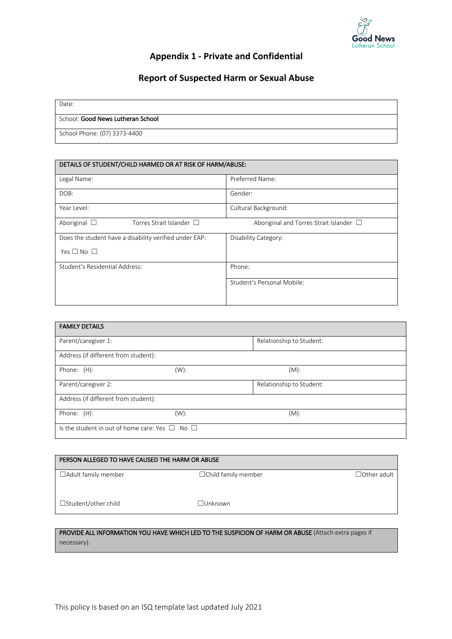

# **Appendix 1 - Private and Confidential**

## **Report of Suspected Harm or Sexual Abuse**

| Date:                             |
|-----------------------------------|
| School: Good News Lutheran School |
| School Phone: (07) 3373-4400      |

| DETAILS OF STUDENT/CHILD HARMED OR AT RISK OF HARM/ABUSE: |                                              |  |  |
|-----------------------------------------------------------|----------------------------------------------|--|--|
| Legal Name:                                               | Preferred Name:                              |  |  |
| DOB:                                                      | Gender:                                      |  |  |
| Year Level:                                               | Cultural Background:                         |  |  |
| Aboriginal $\Box$<br>Torres Strait Islander $\Box$        | Aboriginal and Torres Strait Islander $\Box$ |  |  |
| Does the student have a disability verified under EAP:    | Disability Category:                         |  |  |
| Yes $\square$ No $\square$                                |                                              |  |  |
| Student's Residential Address:                            | Phone:                                       |  |  |
|                                                           | Student's Personal Mobile:                   |  |  |
|                                                           |                                              |  |  |

| <b>FAMILY DETAILS</b>                                    |         |                          |  |
|----------------------------------------------------------|---------|--------------------------|--|
| Parent/caregiver 1:                                      |         | Relationship to Student: |  |
| Address (if different from student):                     |         |                          |  |
| Phone: (H):                                              | $(W)$ : | $(M)$ :                  |  |
| Parent/caregiver 2:                                      |         | Relationship to Student: |  |
| Address (if different from student):                     |         |                          |  |
| Phone: (H):                                              | $(W)$ : | $(M)$ :                  |  |
| Is the student in out of home care: Yes $\Box$ No $\Box$ |         |                          |  |

| PERSON ALLEGED TO HAVE CAUSED THE HARM OR ABUSE |                            |                    |
|-------------------------------------------------|----------------------------|--------------------|
| $\Box$ Adult family member                      | $\Box$ Child family member | $\Box$ Other adult |
| $\Box$ Student/other child                      | $\Box$ Unknown             |                    |

#### PROVIDE ALL INFORMATION YOU HAVE WHICH LED TO THE SUSPICION OF HARM OR ABUSE (Attach extra pages if necessary).